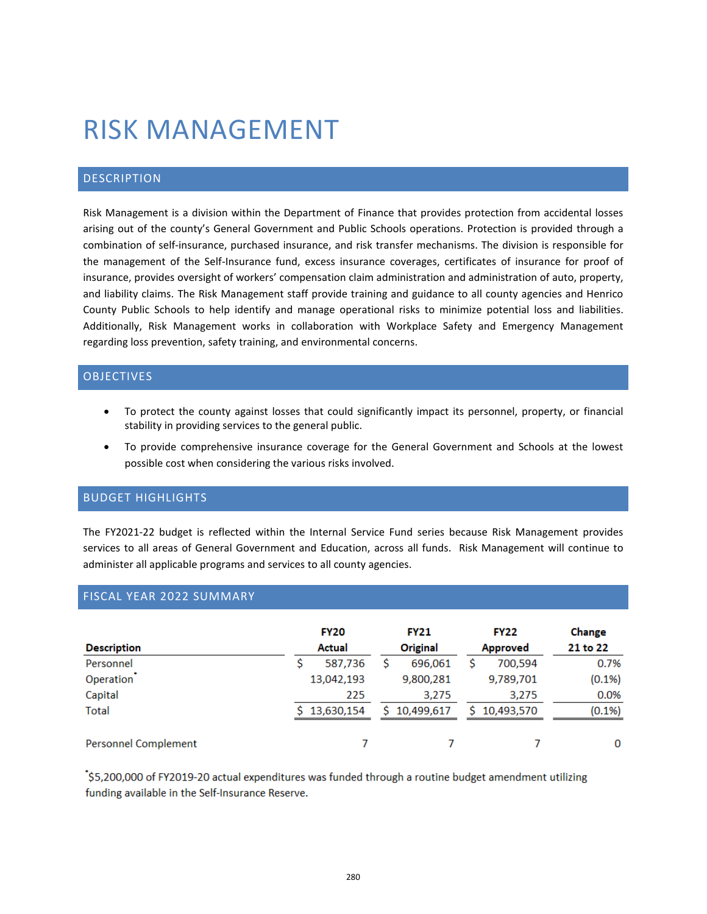# RISK MANAGEMENT

# DESCRIPTION

Risk Management is a division within the Department of Finance that provides protection from accidental losses arising out of the county's General Government and Public Schools operations. Protection is provided through a combination of self-insurance, purchased insurance, and risk transfer mechanisms. The division is responsible for the management of the Self-Insurance fund, excess insurance coverages, certificates of insurance for proof of insurance, provides oversight of workers' compensation claim administration and administration of auto, property, and liability claims. The Risk Management staff provide training and guidance to all county agencies and Henrico County Public Schools to help identify and manage operational risks to minimize potential loss and liabilities. Additionally, Risk Management works in collaboration with Workplace Safety and Emergency Management regarding loss prevention, safety training, and environmental concerns.

# OBJECTIVES

- To protect the county against losses that could significantly impact its personnel, property, or financial stability in providing services to the general public.
- To provide comprehensive insurance coverage for the General Government and Schools at the lowest possible cost when considering the various risks involved.

# BUDGET HIGHLIGHTS

The FY2021-22 budget is reflected within the Internal Service Fund series because Risk Management provides services to all areas of General Government and Education, across all funds. Risk Management will continue to administer all applicable programs and services to all county agencies.

# FISCAL YEAR 2022 SUMMARY

| <b>Description</b>          | <b>FY20</b><br><b>Actual</b> |  | <b>FY21</b><br>Original |    | <b>FY22</b><br><b>Approved</b> | Change<br>21 to 22 |
|-----------------------------|------------------------------|--|-------------------------|----|--------------------------------|--------------------|
| Personnel                   | 587,736                      |  | 696.061                 |    | 700,594                        | 0.7%               |
| Operation                   | 13,042,193                   |  | 9,800,281               |    | 9,789,701                      | $(0.1\%)$          |
| Capital                     | 225                          |  | 3,275                   |    | 3,275                          | 0.0%               |
| <b>Total</b>                | \$13,630,154                 |  | \$10,499,617            | Š. | 10,493,570                     | $(0.1\%)$          |
| <b>Personnel Complement</b> |                              |  |                         |    |                                | 0                  |

\$5,200,000 of FY2019-20 actual expenditures was funded through a routine budget amendment utilizing funding available in the Self-Insurance Reserve.